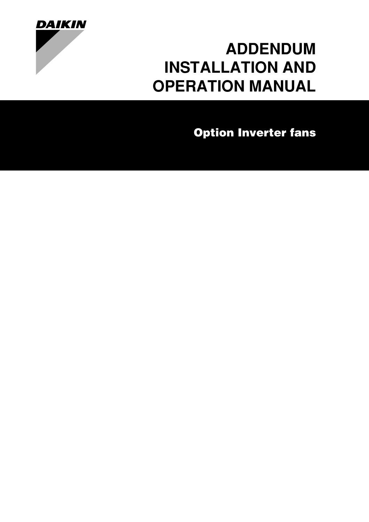

# **[ADDENDUM](#page-1-0) [INSTALLATION AND](#page-1-0) [OPERATION MANUAL](#page-1-0)**

**[Option Inverter fans](#page-1-1)**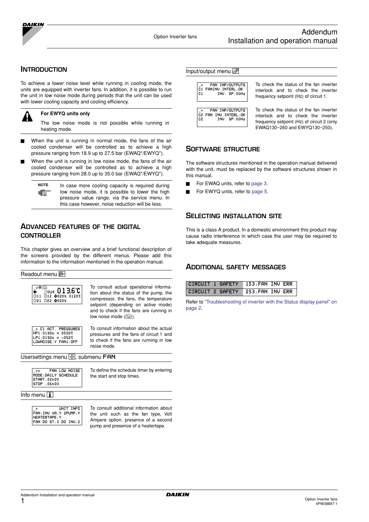

#### **INTRODUCTION**

To achieve a lower noise level while running in cooling mode, the units are equipped with inverter fans. In addition, it is possible to run the unit in low noise mode during periods that the unit can be used with lower cooling capacity and cooling efficiency.



**For EWYQ units only**

The low noise mode is not possible while running in heating mode.

- When the unit is running in normal mode, the fans of the air cooled condenser will be controlled as to achieve a high pressure ranging from 18.9 up to 27.5 bar (EWAQ\*/EWYQ\*).
- When the unit is running in low noise mode, the fans of the air cooled condenser will be controlled as to achieve a high pressure ranging from 28.0 up to 35.0 bar (EWAQ\*/EWYQ\*).

| <b>NOTE</b> | In case more cooling capacity is required during |  |  |  |  |  |  |  |  |  |
|-------------|--------------------------------------------------|--|--|--|--|--|--|--|--|--|
| "曾"         | low noise mode, it is possible to lower the high |  |  |  |  |  |  |  |  |  |
|             | pressure value range, via the service menu. In   |  |  |  |  |  |  |  |  |  |
|             | this case however, noise reduction will be less. |  |  |  |  |  |  |  |  |  |

## **ADVANCED FEATURES OF THE DIGITAL CONTROLLER**

This chapter gives an overview and a brief functional description of the screens provided by the different menus. Please add this information to the information mentioned in the operation manual.

Readout menu

| $\bullet$ | $\%$ ou4 013.6°C                         |  |
|-----------|------------------------------------------|--|
|           | ⊝11 ⊙ି12 ଵଃ020% 0120℃ <br>⊝21 ⊝22 ଵଃ020% |  |
|           |                                          |  |

To consult actual operational information about the status of the pump, the compressor, the fans, the temperature setpoint (depending on active mode) and to check if the fans are running in low noise mode  $(\bigcircright)$ .



To consult information about the actual pressures and the fans of circuit 1 and to check if the fans are running in low noise mode.

Usersettings menu <a>[Ø]</a>, submenu<br/> ${\sf FAN}$ 

| $\cdots$ |                      | FAN LOW NOISE |
|----------|----------------------|---------------|
|          | MODE: DAILY SCHEDULE |               |
|          | START:22h00          |               |
|          | $STOP + 06h00$       |               |
|          |                      |               |

To define the schedule timer by entering the start and stop times.

#### Info menu $\overline{\mathbf{i}}$

| UNIT INFO               |
|-------------------------|
| FAN: INV VA: Y 2PUMP: Y |
| HEATERTAPE: Y           |
| FAN DO ST:3 DO INV:2    |
|                         |

To consult additional information about the unit such as the fan type, Volt Ampere option, presence of a second pump and presence of a heatertape.



<span id="page-1-1"></span>Input/output menu  $\circledcirc$ 

<span id="page-1-0"></span>To check the status of the fan inverter interlock and to check the inverter frequency setpoint (Hz) of circuit 1.

To check the status of the fan inverter interlock and to check the inverter frequency setpoint (Hz) of circuit 2 (only EWAQ130~260 and EWYQ130~250).

### **SOFTWARE STRUCTURE**

The software structures mentioned in the operation manual delivered with the unit, must be replaced by the software structures shown in this manual.

- For EWAQ units, refer to [page 3.](#page-3-0)
- For EWYQ units, refer to [page 5.](#page-5-0)

## **SELECTING INSTALLATION SITE**

This is a class A product. In a domestic environment this product may cause radio interference in which case the user may be required to take adequate measures.

### **ADDITIONAL SAFETY MESSAGES**

| CIRCUIT 1 SAFETY                  | 153.FAN INU ERR |  |
|-----------------------------------|-----------------|--|
| CIRCUIT 2 SAFETY 253. FAN INV ERR |                 |  |

Refer to ["Troubleshooting of inverter with the Status display panel" on](#page-2-0) [page 2](#page-2-0).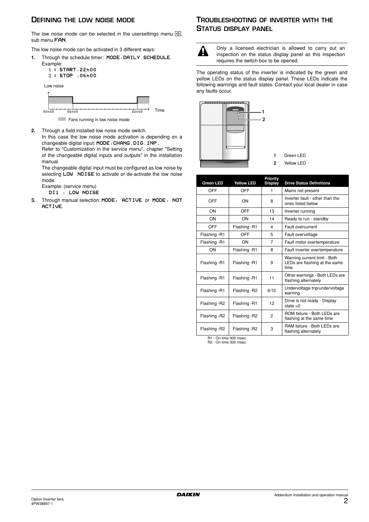## **DEFINING THE LOW NOISE MODE**

The low noise mode can be selected in the usersettings menu  $\circledR$ , sub menu FAN.

The low noise mode can be activated in 3 different ways:

- **1.** Through the schedule timer: MODE:DAILY SCHEDULE.
	- Example: - START:22h00 - STOP :06h00 Low noise



**2.** Through a field installed low noise mode switch.

In this case the low noise mode activation is depending on a changeable digital input: MODE:CHANG.DIG.INP.

Refer to "Customization in the service menu", chapter "Setting of the changeable digital inputs and outputs" in the installation manual.

The changeable digital input must be configured as low noise by selecting LOW NOISE to activate or de-activate the low noise mode.

Example: (service menu)

- DI1 : LOW NOISE
- **3.** Through manual selection: MODE: ACTIVE or MODE: NOT ACTIVE.

## <span id="page-2-0"></span>**TROUBLESHOOTING OF INVERTER WITH THE STATUS DISPLAY PANEL**



Only a licensed electrician is allowed to carry out an inspection on the status display panel as this inspection requires the switch box to be opened.

The operating status of the inverter is indicated by the green and yellow LEDs on the status display panel. These LEDs indicate the following warnings and fault states. Contact your local dealer in case any faults occur.





| <b>Green LED</b>    | <b>Yellow LED</b> | Priority<br><b>Display</b> | <b>Drive Status Definitions</b>                                       |
|---------------------|-------------------|----------------------------|-----------------------------------------------------------------------|
| OFF                 | OFF               | 1                          | Mains not present                                                     |
| OFF                 | ON                | 8                          | Inverter fault - other than the<br>ones listed below                  |
| ON                  | OFF               | 13                         | Inverter running                                                      |
| ON                  | ON                | 14                         | Ready to run - standby                                                |
| OFF                 | Flashing -R1      | 4                          | Fault overcurrent                                                     |
| Flashing -R1        | OFF               | 5                          | Fault overvoltage                                                     |
| Flashing -R1        | ON                | $\overline{7}$             | Fault motor overtemperature                                           |
| ON                  | Flashing -R1      | 8                          | Fault inverter overtemperature                                        |
| Flashing -R1        | Flashing -R1      | 9                          | Warning current limit - Both<br>LEDs are flashing at the same<br>time |
| Flashing -R1        | Flashing -R1      | 11                         | Other warnings - Both LEDs are<br>flashing alternately                |
| Flashing -R1        | Flashing -R2      | 6/10                       | Undervoltage trip/undervoltage<br>warning                             |
| Flashing -R2        | Flashing -R1      | 12                         | Drive is not ready - Display<br>state $>0$                            |
| Flashing -R2        | Flashing -R2      | 2                          | ROM failure - Both LEDs are<br>flashing at the same time              |
| Flashing -R2        | Flashing -R2      | 3                          | RAM failure - Both LEDs are<br>flashing alternately                   |
| $D = D - D - D = D$ |                   |                            |                                                                       |

R1 - On time 900 msec. R2 - On time 300 msec.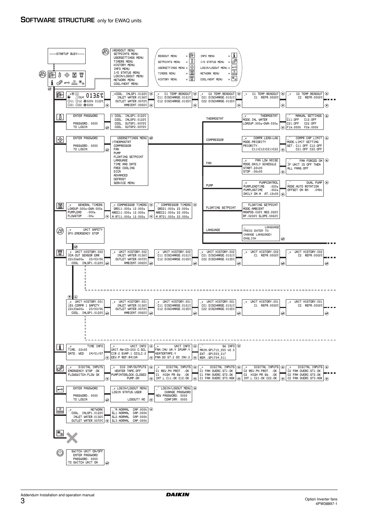<span id="page-3-0"></span>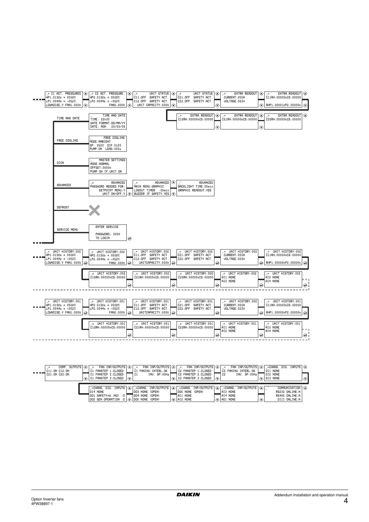

| . <b>. .</b> | COMP. OUTPUTS $ (\blacktriangle) $ ÷<br>C11:ON C12:ON<br>$\overline{0}$ C21:0N C22:0N | C1 FANSTEP 1:CLOSED  <br>∣C1 FANSTEP 2:CLOSED ↑<br>IC1 FANSTEP 3:CLOSED I∩            | 1 C.I |                 | C1 FANINV.INTERL:OK  <br>INV. SP:00Hz $\Gamma$ |                                                             | C2 FANSTEP 1:CLOSED  <br>$\Box$ C2 FANSTEP 2:CLOSED<br>C2 FANSTEP 3:CLOSED | $\odot$ | FAN INP/OUTPUTS $ (\bullet) _{-+}$ fan INP/OUTPUTS $ (\bullet) _{-+}$ fan INP/OUTPUTS $ \bullet _{-+}$ fan INP/OUTPUTS $ \bullet _{-}$ -chang. Dig. Inputs $ \bullet $<br>C2 FANINV.INTERL:OK<br>INV. SP:00Hz $\Gamma$<br>7 C 2 | DI1 NONE<br>TDI2 NONE<br>$\bigcirc$ DIB NONE |                                                                      | $\odot$ |
|--------------|---------------------------------------------------------------------------------------|---------------------------------------------------------------------------------------|-------|-----------------|------------------------------------------------|-------------------------------------------------------------|----------------------------------------------------------------------------|---------|---------------------------------------------------------------------------------------------------------------------------------------------------------------------------------------------------------------------------------|----------------------------------------------|----------------------------------------------------------------------|---------|
|              |                                                                                       | IDI4 NONE<br>1DO1 SAFETY+⊍.(NO) :OΓ<br>$ DO2$ GEN.OPERATION : 0 $ Q $ DOS NONE (OPEN) |       | DO4 NONE (OPEN) | DOB NONE (OPEN)                                | DO6 NONE (OPEN)<br>$\sqcap$ AI1 NONE<br>$\sqrt{ }$ AI2 NONE |                                                                            |         | _÷CHANG. DIG. INPUTS  (A) _÷CHANG. INP/OUTPUTS  (A) _÷CHANG. INP/OUTPUTS  (A) _÷CHANG. INP/OUTPUTS  (A) _`<br>AI3 NONE<br>TAI4 NONE<br>$\odot$   AO1 NONE                                                                       |                                              | COMMUNICATION A<br>RS232 ONLINE:N<br>RS485 ONLINE:N<br>DIII ONLINE:N |         |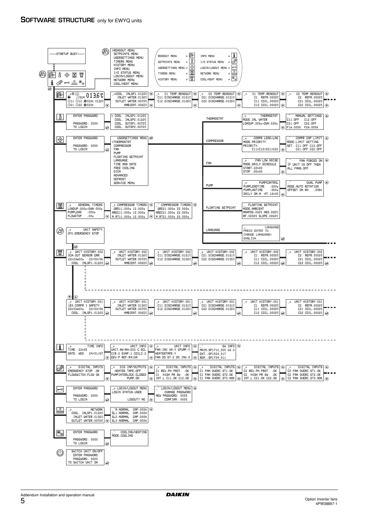<span id="page-5-0"></span>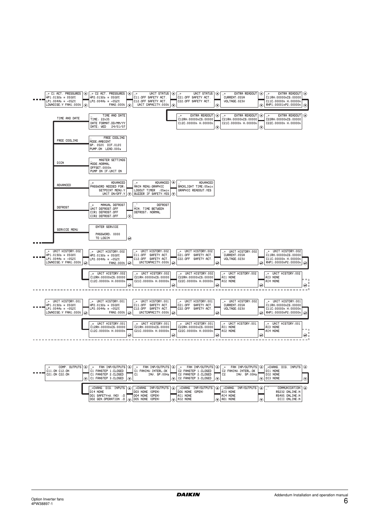

| <b><i><u>ALCOHO</u></i></b> | COMP. OUTPUTS $ $ $\leftrightarrow$<br>C11:ONC12:ON<br>C21:0N C22:0N | FAN INP/OUTPUTS $ (\triangle) $ $\rightarrow$ FAN INP/OUTPUTS $ (\triangle) $ $\rightarrow$ FAN INP/OUTPUTS $ (\triangle) $ $\rightarrow$ Chang. Dig. Inputs $ (\triangle) $<br>FAN INP/OUTPUTS $  \left( \triangle \right)  $ $+$<br>C1 FANINV.INTERL:OK  <br>  C2 FANSTEP 1:CLOSED  <br>C2 FANINV.INTERL:OK<br>C1 FANSTEP 1:CLOSED<br>DI1 NONE<br>C1 FANSTEP 2:CLOSED<br>7 C2 FANSTEP 2:CLOSED<br>$INV.$ SP:00Hz<br>TDI2 NONE<br>INU. SP: 00Hz<br>1 C 2<br>i C1<br>$\odot$ C1 FANSTEP 3.CLOSED $\odot$<br>$ $ C2 FANSTEP 3:CLOSED $  \widehat{ } \widehat{ } \widehat{ }  $<br>$\sqrt{2}$ DI3 NONE | $\odot$ |
|-----------------------------|----------------------------------------------------------------------|------------------------------------------------------------------------------------------------------------------------------------------------------------------------------------------------------------------------------------------------------------------------------------------------------------------------------------------------------------------------------------------------------------------------------------------------------------------------------------------------------------------------------------------------------------------------------------------------------|---------|
|                             |                                                                      | COMMUNICATION 4<br>_÷CHANG. DIG. INPUTS  (▲) _÷CHANG. INP/OUTPUTS  ④ _÷CHANG. INP/OUTPUTS  ④ _÷CHANG. INP/OUTPUTS  ④ _<br>DO6 NONE (OPEN)<br>DOB NONE (OPEN)<br>DI4 NONE<br>AI3 NONE<br>RS232 ONLINE:N<br>IDO1 SAFETY+⊍.(NO) :O Γ<br>TAI4 NONE<br>DO4 NONE (OPEN)<br>RS485 ONLINE:N<br>∃AI1 NONE<br>$\sqrt{2}$ AO1 NONE<br>$ DO2$ GEN.OPERATION :0 $ Q $ DOS NONE (OPEN)<br>$\sqrt{ }$ AI2 NONE<br>DIII ONLINE:N                                                                                                                                                                                     |         |